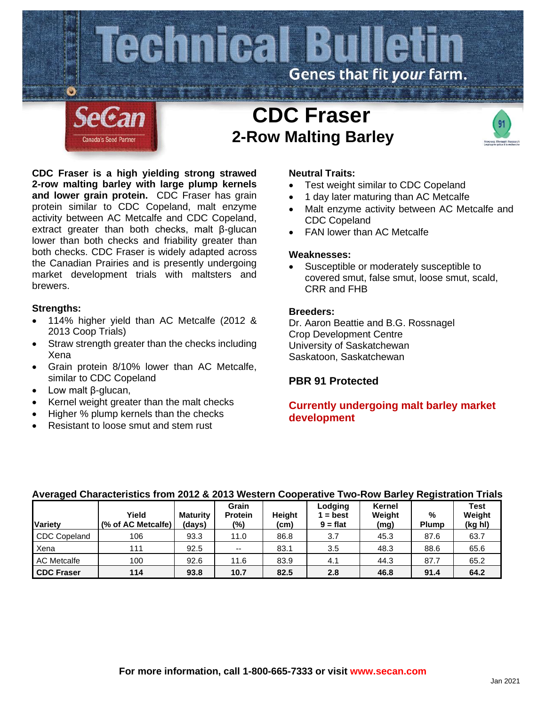

**CDC Fraser is a high yielding strong strawed 2-row malting barley with large plump kernels and lower grain protein.** CDC Fraser has grain protein similar to CDC Copeland, malt enzyme activity between AC Metcalfe and CDC Copeland, extract greater than both checks, malt β-glucan lower than both checks and friability greater than both checks. CDC Fraser is widely adapted across the Canadian Prairies and is presently undergoing market development trials with maltsters and brewers.

# **Strengths:**

- 114% higher yield than AC Metcalfe (2012 & 2013 Coop Trials)
- Straw strength greater than the checks including Xena
- Grain protein 8/10% lower than AC Metcalfe, similar to CDC Copeland
- Low malt β-glucan,
- Kernel weight greater than the malt checks
- Higher % plump kernels than the checks
- Resistant to loose smut and stem rust

## **Neutral Traits:**

- Test weight similar to CDC Copeland
- 1 day later maturing than AC Metcalfe
- Malt enzyme activity between AC Metcalfe and CDC Copeland
- FAN lower than AC Metcalfe

### **Weaknesses:**

• Susceptible or moderately susceptible to covered smut, false smut, loose smut, scald, CRR and FHB

### **Breeders:**

Dr. Aaron Beattie and B.G. Rossnagel Crop Development Centre University of Saskatchewan Saskatoon, Saskatchewan

# **PBR 91 Protected**

# **Currently undergoing malt barley market development**

### **Averaged Characteristics from 2012 & 2013 Western Cooperative Two-Row Barley Registration Trials**

| <b>Variety</b>      | Yield<br>(% of AC Metcalfe) | <b>Maturity</b><br>(days) | Grain<br><b>Protein</b><br>$(\%)$ | Height<br>(cm) | Lodging<br>$=$ best<br>$9 = flat$ | Kernel<br>Weight<br>(mg) | %<br><b>Plump</b> | <b>Test</b><br>Weight<br>(kg hl) |
|---------------------|-----------------------------|---------------------------|-----------------------------------|----------------|-----------------------------------|--------------------------|-------------------|----------------------------------|
| <b>CDC Copeland</b> | 106                         | 93.3                      | 11.0                              | 86.8           | 3.7                               | 45.3                     | 87.6              | 63.7                             |
| Xena                | 111                         | 92.5                      | $- -$                             | 83.1           | 3.5                               | 48.3                     | 88.6              | 65.6                             |
| <b>AC Metcalfe</b>  | 100                         | 92.6                      | 11.6                              | 83.9           | 4.1                               | 44.3                     | 87.7              | 65.2                             |
| <b>CDC Fraser</b>   | 114                         | 93.8                      | 10.7                              | 82.5           | 2.8                               | 46.8                     | 91.4              | 64.2                             |